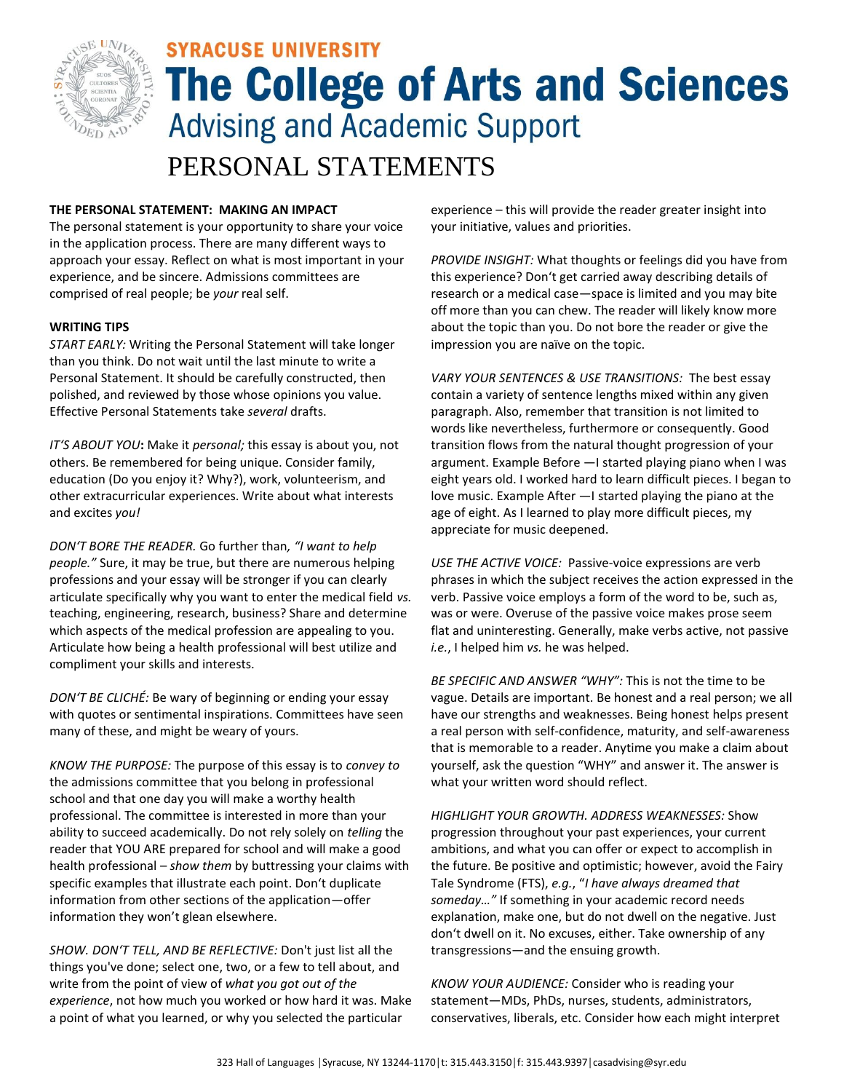

# **SYRACUSE UNIVERSITY The College of Arts and Sciences Advising and Academic Support** PERSONAL STATEMENTS

## **THE PERSONAL STATEMENT: MAKING AN IMPACT**

The personal statement is your opportunity to share your voice in the application process. There are many different ways to approach your essay. Reflect on what is most important in your experience, and be sincere. Admissions committees are comprised of real people; be *your* real self.

### **WRITING TIPS**

*START EARLY:* Writing the Personal Statement will take longer than you think. Do not wait until the last minute to write a Personal Statement. It should be carefully constructed, then polished, and reviewed by those whose opinions you value. Effective Personal Statements take *several* drafts.

*IT'S ABOUT YOU***:** Make it *personal;* this essay is about you, not others. Be remembered for being unique. Consider family, education (Do you enjoy it? Why?), work, volunteerism, and other extracurricular experiences. Write about what interests and excites *you!* 

*DON'T BORE THE READER.* Go further than*, "I want to help people."* Sure, it may be true, but there are numerous helping professions and your essay will be stronger if you can clearly articulate specifically why you want to enter the medical field *vs.* teaching, engineering, research, business? Share and determine which aspects of the medical profession are appealing to you. Articulate how being a health professional will best utilize and compliment your skills and interests.

*DON'T BE CLICHÉ:* Be wary of beginning or ending your essay with quotes or sentimental inspirations. Committees have seen many of these, and might be weary of yours.

*KNOW THE PURPOSE:* The purpose of this essay is to *convey to*  the admissions committee that you belong in professional school and that one day you will make a worthy health professional. The committee is interested in more than your ability to succeed academically. Do not rely solely on *telling* the reader that YOU ARE prepared for school and will make a good health professional – *show them* by buttressing your claims with specific examples that illustrate each point. Don't duplicate information from other sections of the application—offer information they won't glean elsewhere.

*SHOW. DON'T TELL, AND BE REFLECTIVE:* Don't just list all the things you've done; select one, two, or a few to tell about, and write from the point of view of *what you got out of the experience*, not how much you worked or how hard it was. Make a point of what you learned, or why you selected the particular

experience – this will provide the reader greater insight into your initiative, values and priorities.

*PROVIDE INSIGHT:* What thoughts or feelings did you have from this experience? Don't get carried away describing details of research or a medical case—space is limited and you may bite off more than you can chew. The reader will likely know more about the topic than you. Do not bore the reader or give the impression you are naïve on the topic.

*VARY YOUR SENTENCES & USE TRANSITIONS:* The best essay contain a variety of sentence lengths mixed within any given paragraph. Also, remember that transition is not limited to words like nevertheless, furthermore or consequently. Good transition flows from the natural thought progression of your argument. Example Before ―I started playing piano when I was eight years old. I worked hard to learn difficult pieces. I began to love music. Example After ―I started playing the piano at the age of eight. As I learned to play more difficult pieces, my appreciate for music deepened.

*USE THE ACTIVE VOICE:* Passive-voice expressions are verb phrases in which the subject receives the action expressed in the verb. Passive voice employs a form of the word to be, such as, was or were. Overuse of the passive voice makes prose seem flat and uninteresting. Generally, make verbs active, not passive *i.e.*, I helped him *vs.* he was helped.

*BE SPECIFIC AND ANSWER "WHY":* This is not the time to be vague. Details are important. Be honest and a real person; we all have our strengths and weaknesses. Being honest helps present a real person with self-confidence, maturity, and self-awareness that is memorable to a reader. Anytime you make a claim about yourself, ask the question "WHY" and answer it. The answer is what your written word should reflect.

*HIGHLIGHT YOUR GROWTH. ADDRESS WEAKNESSES:* Show progression throughout your past experiences, your current ambitions, and what you can offer or expect to accomplish in the future. Be positive and optimistic; however, avoid the Fairy Tale Syndrome (FTS), *e.g.*, "*I have always dreamed that someday…"* If something in your academic record needs explanation, make one, but do not dwell on the negative. Just don't dwell on it. No excuses, either. Take ownership of any transgressions—and the ensuing growth.

*KNOW YOUR AUDIENCE:* Consider who is reading your statement—MDs, PhDs, nurses, students, administrators, conservatives, liberals, etc. Consider how each might interpret